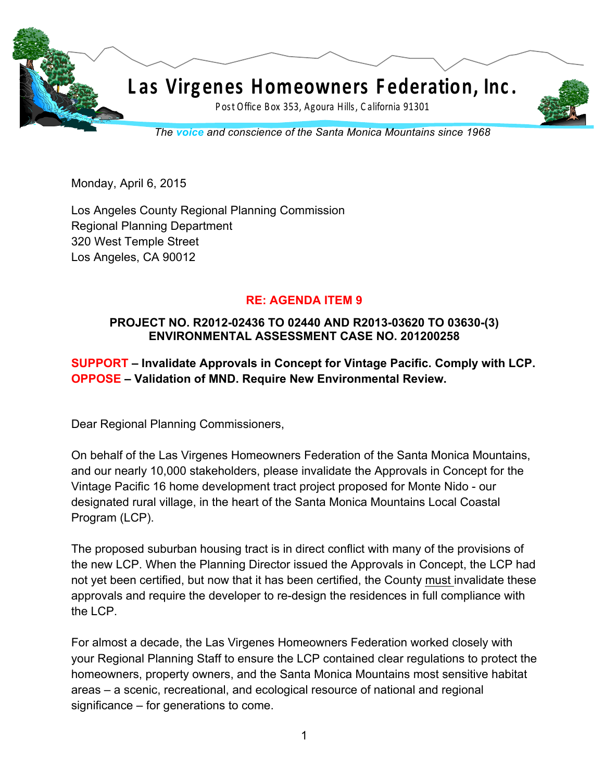

Monday, April 6, 2015

Los Angeles County Regional Planning Commission Regional Planning Department 320 West Temple Street Los Angeles, CA 90012

## **RE: AGENDA ITEM 9**

## **PROJECT NO. R2012-02436 TO 02440 AND R2013-03620 TO 03630-(3) ENVIRONMENTAL ASSESSMENT CASE NO. 201200258**

**SUPPORT – Invalidate Approvals in Concept for Vintage Pacific. Comply with LCP. OPPOSE – Validation of MND. Require New Environmental Review.**

Dear Regional Planning Commissioners,

On behalf of the Las Virgenes Homeowners Federation of the Santa Monica Mountains, and our nearly 10,000 stakeholders, please invalidate the Approvals in Concept for the Vintage Pacific 16 home development tract project proposed for Monte Nido - our designated rural village, in the heart of the Santa Monica Mountains Local Coastal Program (LCP).

The proposed suburban housing tract is in direct conflict with many of the provisions of the new LCP. When the Planning Director issued the Approvals in Concept, the LCP had not yet been certified, but now that it has been certified, the County must invalidate these approvals and require the developer to re-design the residences in full compliance with the LCP.

For almost a decade, the Las Virgenes Homeowners Federation worked closely with your Regional Planning Staff to ensure the LCP contained clear regulations to protect the homeowners, property owners, and the Santa Monica Mountains most sensitive habitat areas – a scenic, recreational, and ecological resource of national and regional significance – for generations to come.